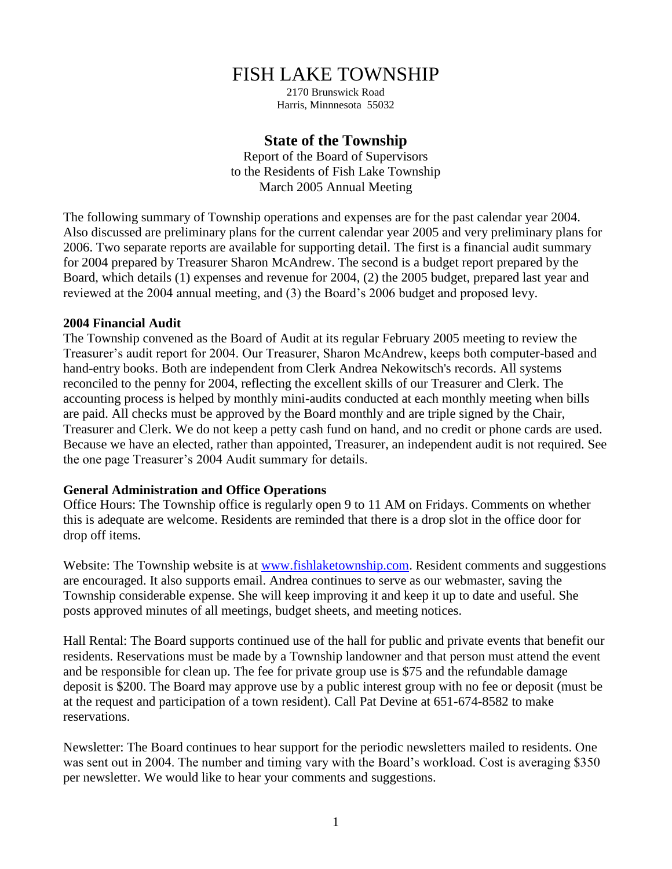# FISH LAKE TOWNSHIP

2170 Brunswick Road Harris, Minnnesota 55032

## **State of the Township**

Report of the Board of Supervisors to the Residents of Fish Lake Township March 2005 Annual Meeting

The following summary of Township operations and expenses are for the past calendar year 2004. Also discussed are preliminary plans for the current calendar year 2005 and very preliminary plans for 2006. Two separate reports are available for supporting detail. The first is a financial audit summary for 2004 prepared by Treasurer Sharon McAndrew. The second is a budget report prepared by the Board, which details (1) expenses and revenue for 2004, (2) the 2005 budget, prepared last year and reviewed at the 2004 annual meeting, and (3) the Board's 2006 budget and proposed levy.

#### **2004 Financial Audit**

The Township convened as the Board of Audit at its regular February 2005 meeting to review the Treasurer's audit report for 2004. Our Treasurer, Sharon McAndrew, keeps both computer-based and hand-entry books. Both are independent from Clerk Andrea Nekowitsch's records. All systems reconciled to the penny for 2004, reflecting the excellent skills of our Treasurer and Clerk. The accounting process is helped by monthly mini-audits conducted at each monthly meeting when bills are paid. All checks must be approved by the Board monthly and are triple signed by the Chair, Treasurer and Clerk. We do not keep a petty cash fund on hand, and no credit or phone cards are used. Because we have an elected, rather than appointed, Treasurer, an independent audit is not required. See the one page Treasurer's 2004 Audit summary for details.

### **General Administration and Office Operations**

Office Hours: The Township office is regularly open 9 to 11 AM on Fridays. Comments on whether this is adequate are welcome. Residents are reminded that there is a drop slot in the office door for drop off items.

Website: The Township website is at [www.fishlaketownship.com.](http://www.fishlaketownship.com/) Resident comments and suggestions are encouraged. It also supports email. Andrea continues to serve as our webmaster, saving the Township considerable expense. She will keep improving it and keep it up to date and useful. She posts approved minutes of all meetings, budget sheets, and meeting notices.

Hall Rental: The Board supports continued use of the hall for public and private events that benefit our residents. Reservations must be made by a Township landowner and that person must attend the event and be responsible for clean up. The fee for private group use is \$75 and the refundable damage deposit is \$200. The Board may approve use by a public interest group with no fee or deposit (must be at the request and participation of a town resident). Call Pat Devine at 651-674-8582 to make reservations.

Newsletter: The Board continues to hear support for the periodic newsletters mailed to residents. One was sent out in 2004. The number and timing vary with the Board's workload. Cost is averaging \$350 per newsletter. We would like to hear your comments and suggestions.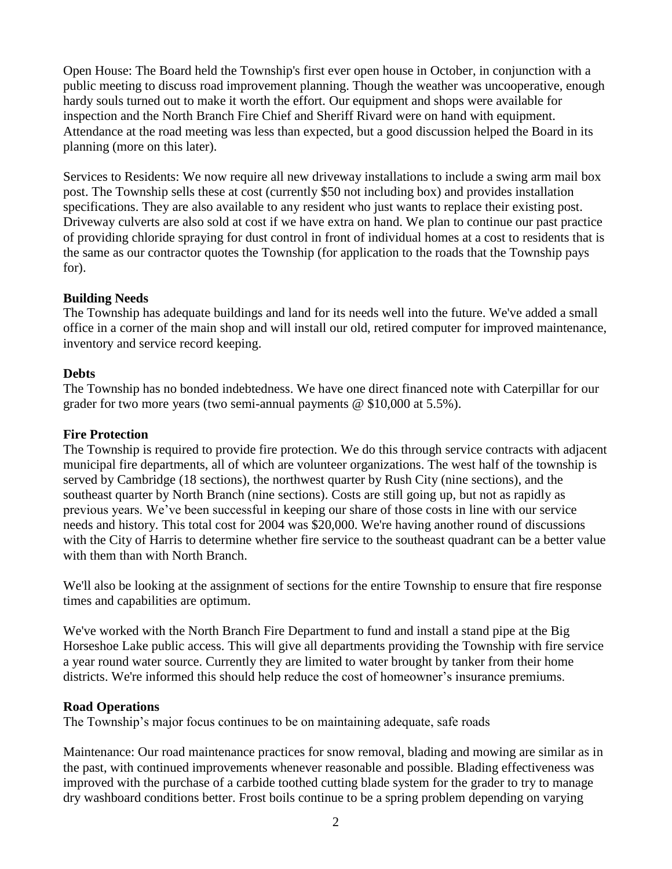Open House: The Board held the Township's first ever open house in October, in conjunction with a public meeting to discuss road improvement planning. Though the weather was uncooperative, enough hardy souls turned out to make it worth the effort. Our equipment and shops were available for inspection and the North Branch Fire Chief and Sheriff Rivard were on hand with equipment. Attendance at the road meeting was less than expected, but a good discussion helped the Board in its planning (more on this later).

Services to Residents: We now require all new driveway installations to include a swing arm mail box post. The Township sells these at cost (currently \$50 not including box) and provides installation specifications. They are also available to any resident who just wants to replace their existing post. Driveway culverts are also sold at cost if we have extra on hand. We plan to continue our past practice of providing chloride spraying for dust control in front of individual homes at a cost to residents that is the same as our contractor quotes the Township (for application to the roads that the Township pays for).

## **Building Needs**

The Township has adequate buildings and land for its needs well into the future. We've added a small office in a corner of the main shop and will install our old, retired computer for improved maintenance, inventory and service record keeping.

## **Debts**

The Township has no bonded indebtedness. We have one direct financed note with Caterpillar for our grader for two more years (two semi-annual payments @ \$10,000 at 5.5%).

## **Fire Protection**

The Township is required to provide fire protection. We do this through service contracts with adjacent municipal fire departments, all of which are volunteer organizations. The west half of the township is served by Cambridge (18 sections), the northwest quarter by Rush City (nine sections), and the southeast quarter by North Branch (nine sections). Costs are still going up, but not as rapidly as previous years. We've been successful in keeping our share of those costs in line with our service needs and history. This total cost for 2004 was \$20,000. We're having another round of discussions with the City of Harris to determine whether fire service to the southeast quadrant can be a better value with them than with North Branch.

We'll also be looking at the assignment of sections for the entire Township to ensure that fire response times and capabilities are optimum.

We've worked with the North Branch Fire Department to fund and install a stand pipe at the Big Horseshoe Lake public access. This will give all departments providing the Township with fire service a year round water source. Currently they are limited to water brought by tanker from their home districts. We're informed this should help reduce the cost of homeowner's insurance premiums.

### **Road Operations**

The Township's major focus continues to be on maintaining adequate, safe roads

Maintenance: Our road maintenance practices for snow removal, blading and mowing are similar as in the past, with continued improvements whenever reasonable and possible. Blading effectiveness was improved with the purchase of a carbide toothed cutting blade system for the grader to try to manage dry washboard conditions better. Frost boils continue to be a spring problem depending on varying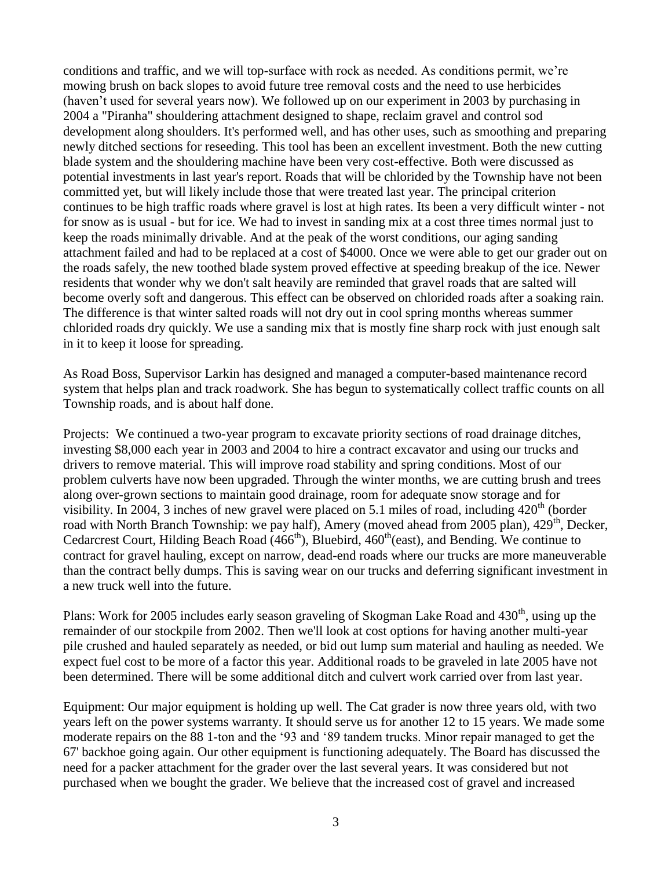conditions and traffic, and we will top-surface with rock as needed. As conditions permit, we're mowing brush on back slopes to avoid future tree removal costs and the need to use herbicides (haven't used for several years now). We followed up on our experiment in 2003 by purchasing in 2004 a "Piranha" shouldering attachment designed to shape, reclaim gravel and control sod development along shoulders. It's performed well, and has other uses, such as smoothing and preparing newly ditched sections for reseeding. This tool has been an excellent investment. Both the new cutting blade system and the shouldering machine have been very cost-effective. Both were discussed as potential investments in last year's report. Roads that will be chlorided by the Township have not been committed yet, but will likely include those that were treated last year. The principal criterion continues to be high traffic roads where gravel is lost at high rates. Its been a very difficult winter - not for snow as is usual - but for ice. We had to invest in sanding mix at a cost three times normal just to keep the roads minimally drivable. And at the peak of the worst conditions, our aging sanding attachment failed and had to be replaced at a cost of \$4000. Once we were able to get our grader out on the roads safely, the new toothed blade system proved effective at speeding breakup of the ice. Newer residents that wonder why we don't salt heavily are reminded that gravel roads that are salted will become overly soft and dangerous. This effect can be observed on chlorided roads after a soaking rain. The difference is that winter salted roads will not dry out in cool spring months whereas summer chlorided roads dry quickly. We use a sanding mix that is mostly fine sharp rock with just enough salt in it to keep it loose for spreading.

As Road Boss, Supervisor Larkin has designed and managed a computer-based maintenance record system that helps plan and track roadwork. She has begun to systematically collect traffic counts on all Township roads, and is about half done.

Projects: We continued a two-year program to excavate priority sections of road drainage ditches, investing \$8,000 each year in 2003 and 2004 to hire a contract excavator and using our trucks and drivers to remove material. This will improve road stability and spring conditions. Most of our problem culverts have now been upgraded. Through the winter months, we are cutting brush and trees along over-grown sections to maintain good drainage, room for adequate snow storage and for visibility. In 2004, 3 inches of new gravel were placed on 5.1 miles of road, including  $420<sup>th</sup>$  (border road with North Branch Township: we pay half), Amery (moved ahead from 2005 plan), 429<sup>th</sup>, Decker, Cedarcrest Court, Hilding Beach Road  $(466<sup>th</sup>)$ , Bluebird,  $460<sup>th</sup>$ (east), and Bending. We continue to contract for gravel hauling, except on narrow, dead-end roads where our trucks are more maneuverable than the contract belly dumps. This is saving wear on our trucks and deferring significant investment in a new truck well into the future.

Plans: Work for 2005 includes early season graveling of Skogman Lake Road and 430<sup>th</sup>, using up the remainder of our stockpile from 2002. Then we'll look at cost options for having another multi-year pile crushed and hauled separately as needed, or bid out lump sum material and hauling as needed. We expect fuel cost to be more of a factor this year. Additional roads to be graveled in late 2005 have not been determined. There will be some additional ditch and culvert work carried over from last year.

Equipment: Our major equipment is holding up well. The Cat grader is now three years old, with two years left on the power systems warranty. It should serve us for another 12 to 15 years. We made some moderate repairs on the 88 1-ton and the '93 and '89 tandem trucks. Minor repair managed to get the 67' backhoe going again. Our other equipment is functioning adequately. The Board has discussed the need for a packer attachment for the grader over the last several years. It was considered but not purchased when we bought the grader. We believe that the increased cost of gravel and increased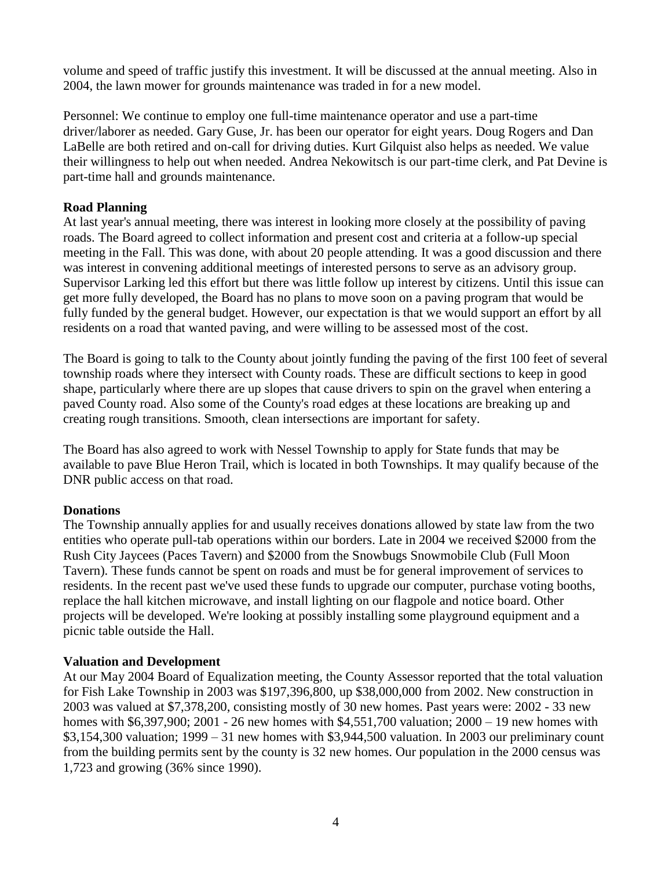volume and speed of traffic justify this investment. It will be discussed at the annual meeting. Also in 2004, the lawn mower for grounds maintenance was traded in for a new model.

Personnel: We continue to employ one full-time maintenance operator and use a part-time driver/laborer as needed. Gary Guse, Jr. has been our operator for eight years. Doug Rogers and Dan LaBelle are both retired and on-call for driving duties. Kurt Gilquist also helps as needed. We value their willingness to help out when needed. Andrea Nekowitsch is our part-time clerk, and Pat Devine is part-time hall and grounds maintenance.

## **Road Planning**

At last year's annual meeting, there was interest in looking more closely at the possibility of paving roads. The Board agreed to collect information and present cost and criteria at a follow-up special meeting in the Fall. This was done, with about 20 people attending. It was a good discussion and there was interest in convening additional meetings of interested persons to serve as an advisory group. Supervisor Larking led this effort but there was little follow up interest by citizens. Until this issue can get more fully developed, the Board has no plans to move soon on a paving program that would be fully funded by the general budget. However, our expectation is that we would support an effort by all residents on a road that wanted paving, and were willing to be assessed most of the cost.

The Board is going to talk to the County about jointly funding the paving of the first 100 feet of several township roads where they intersect with County roads. These are difficult sections to keep in good shape, particularly where there are up slopes that cause drivers to spin on the gravel when entering a paved County road. Also some of the County's road edges at these locations are breaking up and creating rough transitions. Smooth, clean intersections are important for safety.

The Board has also agreed to work with Nessel Township to apply for State funds that may be available to pave Blue Heron Trail, which is located in both Townships. It may qualify because of the DNR public access on that road.

## **Donations**

The Township annually applies for and usually receives donations allowed by state law from the two entities who operate pull-tab operations within our borders. Late in 2004 we received \$2000 from the Rush City Jaycees (Paces Tavern) and \$2000 from the Snowbugs Snowmobile Club (Full Moon Tavern). These funds cannot be spent on roads and must be for general improvement of services to residents. In the recent past we've used these funds to upgrade our computer, purchase voting booths, replace the hall kitchen microwave, and install lighting on our flagpole and notice board. Other projects will be developed. We're looking at possibly installing some playground equipment and a picnic table outside the Hall.

## **Valuation and Development**

At our May 2004 Board of Equalization meeting, the County Assessor reported that the total valuation for Fish Lake Township in 2003 was \$197,396,800, up \$38,000,000 from 2002. New construction in 2003 was valued at \$7,378,200, consisting mostly of 30 new homes. Past years were: 2002 - 33 new homes with \$6,397,900; 2001 - 26 new homes with \$4,551,700 valuation; 2000 – 19 new homes with \$3,154,300 valuation; 1999 – 31 new homes with \$3,944,500 valuation. In 2003 our preliminary count from the building permits sent by the county is 32 new homes. Our population in the 2000 census was 1,723 and growing (36% since 1990).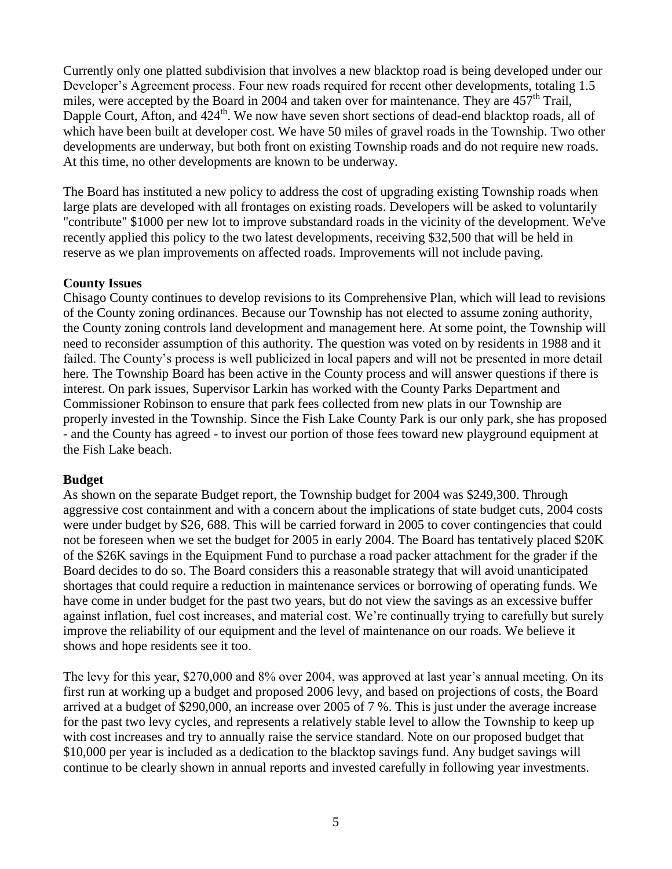Currently only one platted subdivision that involves a new blacktop road is being developed under our Developer's Agreement process. Four new roads required for recent other developments, totaling 1.5 miles, were accepted by the Board in 2004 and taken over for maintenance. They are  $457<sup>th</sup>$  Trail, Dapple Court, Afton, and 424<sup>th</sup>. We now have seven short sections of dead-end blacktop roads, all of which have been built at developer cost. We have 50 miles of gravel roads in the Township. Two other developments are underway, but both front on existing Township roads and do not require new roads. At this time, no other developments are known to be underway.

The Board has instituted a new policy to address the cost of upgrading existing Township roads when large plats are developed with all frontages on existing roads. Developers will be asked to voluntarily "contribute" \$1000 per new lot to improve substandard roads in the vicinity of the development. We've recently applied this policy to the two latest developments, receiving \$32,500 that will be held in reserve as we plan improvements on affected roads. Improvements will not include paving.

### **County Issues**

Chisago County continues to develop revisions to its Comprehensive Plan, which will lead to revisions of the County zoning ordinances. Because our Township has not elected to assume zoning authority, the County zoning controls land development and management here. At some point, the Township will need to reconsider assumption of this authority. The question was voted on by residents in 1988 and it failed. The County's process is well publicized in local papers and will not be presented in more detail here. The Township Board has been active in the County process and will answer questions if there is interest. On park issues, Supervisor Larkin has worked with the County Parks Department and Commissioner Robinson to ensure that park fees collected from new plats in our Township are properly invested in the Township. Since the Fish Lake County Park is our only park, she has proposed - and the County has agreed - to invest our portion of those fees toward new playground equipment at the Fish Lake beach.

### **Budget**

As shown on the separate Budget report, the Township budget for 2004 was \$249,300. Through aggressive cost containment and with a concern about the implications of state budget cuts, 2004 costs were under budget by \$26, 688. This will be carried forward in 2005 to cover contingencies that could not be foreseen when we set the budget for 2005 in early 2004. The Board has tentatively placed \$20K of the \$26K savings in the Equipment Fund to purchase a road packer attachment for the grader if the Board decides to do so. The Board considers this a reasonable strategy that will avoid unanticipated shortages that could require a reduction in maintenance services or borrowing of operating funds. We have come in under budget for the past two years, but do not view the savings as an excessive buffer against inflation, fuel cost increases, and material cost. We're continually trying to carefully but surely improve the reliability of our equipment and the level of maintenance on our roads. We believe it shows and hope residents see it too.

The levy for this year, \$270,000 and 8% over 2004, was approved at last year's annual meeting. On its first run at working up a budget and proposed 2006 levy, and based on projections of costs, the Board arrived at a budget of \$290,000, an increase over 2005 of 7 %. This is just under the average increase for the past two levy cycles, and represents a relatively stable level to allow the Township to keep up with cost increases and try to annually raise the service standard. Note on our proposed budget that \$10,000 per year is included as a dedication to the blacktop savings fund. Any budget savings will continue to be clearly shown in annual reports and invested carefully in following year investments.